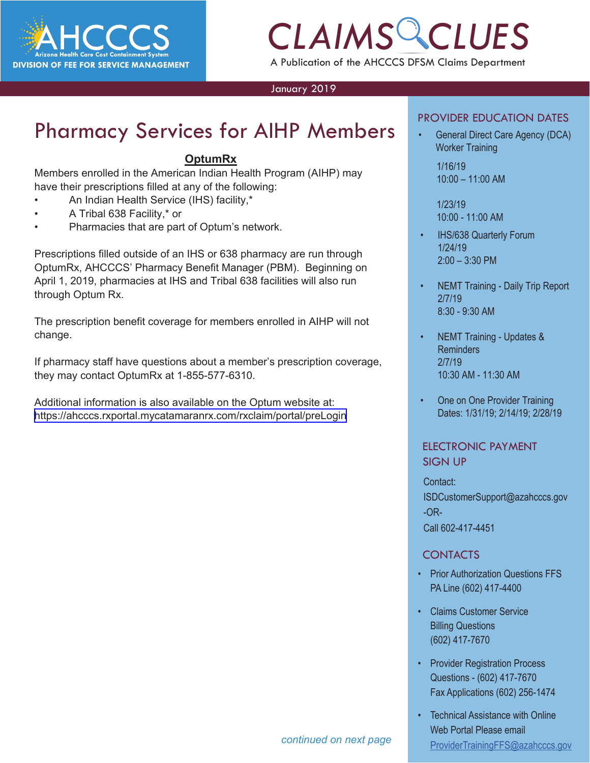

A Publication of the AHCCCS DFSM Claims Department

#### January 2019

### Pharmacy Services for AIHP Members

#### **OptumRx**

Members enrolled in the American Indian Health Program (AIHP) may have their prescriptions filled at any of the following:

- An Indian Health Service (IHS) facility,\*
- A Tribal 638 Facility,\* or
- Pharmacies that are part of Optum's network.

Prescriptions filled outside of an IHS or 638 pharmacy are run through OptumRx, AHCCCS' Pharmacy Benefit Manager (PBM). Beginning on April 1, 2019, pharmacies at IHS and Tribal 638 facilities will also run through Optum Rx.

The prescription benefit coverage for members enrolled in AIHP will not change.

If pharmacy staff have questions about a member's prescription coverage, they may contact OptumRx at 1-855-577-6310.

[Additional information is also available on the Optum website at:](https://ahcccs.rxportal.mycatamaranrx.com/rxclaim/portal/preLogin)  <https://ahcccs.rxportal.mycatamaranrx.com/rxclaim/portal/preLogin>

#### PROVIDER EDUCATION DATES

**CONDER EDUCATION DATES**<br>
Ceneral Direct Care Agency (DCA)<br>
Worker Training • General Direct Care Agency (DCA) Worker Training 1/16/19 10:00 – 11:00 AM

> 1/23/19 10:00 - 11:00 AM

- IHS/638 Quarterly Forum 1/24/19 2:00 – 3:30 PM
- NEMT Training Daily Trip Report 2/7/19 8:30 - 9:30 AM
- NEMT Training Updates & **Reminders** 2/7/19 10:30 AM - 11:30 AM
- One on One Provider Training Dates: 1/31/19; 2/14/19; 2/28/19

#### ELECTRONIC PAYMENT SIGN UP

Contact: [ISDCustomerSupport@azahcccs.gov](mailto:ISDCustomerSupport@azahcccs.gov) -OR-Call 602-417-4451

#### CONTACTS

- Prior Authorization Questions FFS PA Line (602) 417-4400
- Claims Customer Service Billing Questions (602) 417-7670
- [Provider Registration Process](mailto:ProviderTrainingFFS%40azahcccs.gov%20?subject=Tech%20Support) Questions - (602) 417-7670 Fax Applications (602) 256-1474
- **Technical Assistance with Online** Web Portal Please email [ProviderTrainingFFS@azahcccs.gov](mailto:ProviderTrainingFFS@azahcccs.gov)

*continued on next page*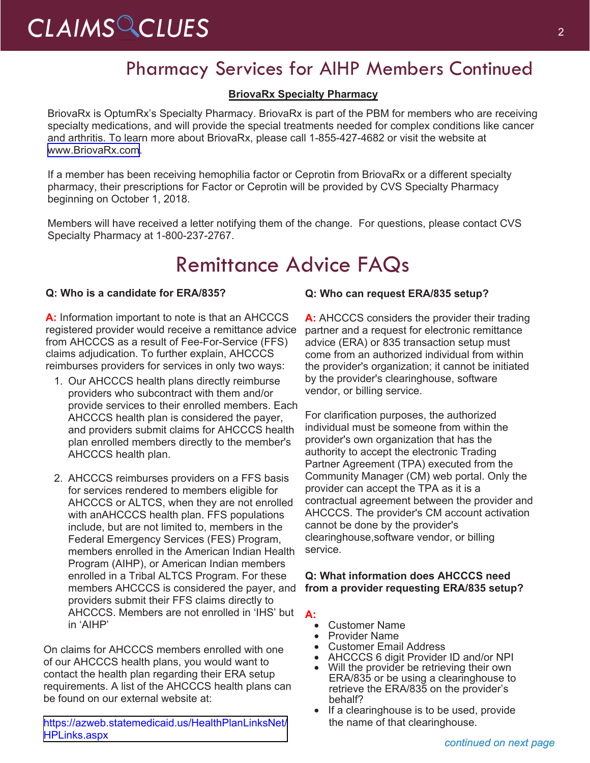### Pharmacy Services for AIHP Members Continued

#### **BriovaRx Specialty Pharmacy**

BriovaRx is OptumRx's Specialty Pharmacy. BriovaRx is part of the PBM for members who are receiving specialty medications, and will provide the special treatments needed for complex conditions like cancer and arthritis. To learn more about BriovaRx, please call 1-855-427-4682 or visit the website at [www.BriovaRx.com.](www.BriovaRx.com)

[If a member has been](http://www.BriovaRx.com) receiving hemophilia factor or Ceprotin from BriovaRx or a different specialty pharmacy, their prescriptions for Factor or Ceprotin will be provided by CVS Specialty Pharmacy beginning on October 1, 2018.

Members will have received a letter notifying them of the change. For questions, please contact CVS Specialty Pharmacy at 1-800-237-2767.

### Remittance Advice FAQs

#### **Q: Who is a candidate for ERA/835?**

**A:** Information important to note is that an AHCCCS registered provider would receive a remittance advice from AHCCCS as a result of Fee-For-Service (FFS) claims adjudication. To further explain, AHCCCS reimburses providers for services in only two ways:

- 1. Our AHCCCS health plans directly reimburse providers who subcontract with them and/or provide services to their enrolled members. Each AHCCCS health plan is considered the payer, and providers submit claims for AHCCCS health plan enrolled members directly to the member's AHCCCS health plan.
- 2. AHCCCS reimburses providers on a FFS basis for services rendered to members eligible for AHCCCS or ALTCS, when they are not enrolled with anAHCCCS health plan. FFS populations include, but are not limited to, members in the Federal Emergency Services (FES) Program, members enrolled in the American Indian Health Program (AIHP), or American Indian members enrolled in a Tribal ALTCS Program. For these members AHCCCS is considered the payer, and providers submit their FFS claims directly to AHCCCS. Members are not enrolled in 'IHS' but **A:** in 'AIHP'

On claims for AHCCCS members enrolled with one of our AHCCCS health plans, you would want to contact the health plan regarding their ERA setup requirements. A list of the AHCCCS health plans can be found on our external website at:

[https://azweb.statemedicaid.us/HealthPlanLinksNet/](https://azweb.statemedicaid.us/HealthPlanLinksNet/HPLinks.aspx) HPLinks.aspx

#### **Q: Who can request ERA/835 setup?**

A: AHCCCS considers the provider their trading partner and a request for electronic remittance advice (ERA) or 835 transaction setup must come from an authorized individual from within the provider's organization; it cannot be initiated by the provider's clearinghouse, software vendor, or billing service.

For clarification purposes, the authorized individual must be someone from within the provider's own organization that has the authority to accept the electronic Trading Partner Agreement (TPA) executed from the Community Manager (CM) web portal. Only the provider can accept the TPA as it is a contractual agreement between the provider and AHCCCS. The provider's CM account activation cannot be done by the provider's clearinghouse,software vendor, or billing service.

#### **Q: What information does AHCCCS need from a provider requesting ERA/835 setup?**

- Customer Name
- Provider Name
- Customer Email Address
- AHCCCS 6 digit Provider ID and/or NPI
- Will the provider be retrieving their own ERA/835 or be using a clearinghouse to retrieve the ERA/835 on the provider's behalf?
- If a clearinghouse is to be used, provide the name of that clearinghouse.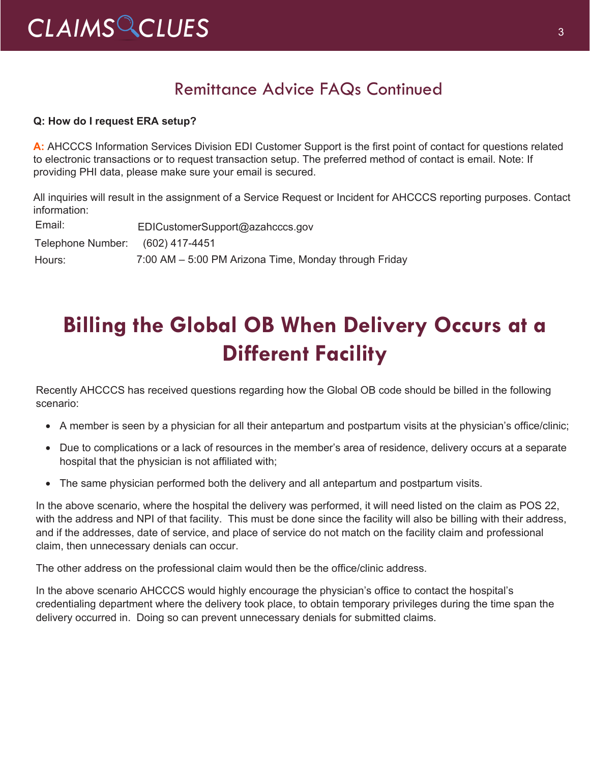### Remittance Advice FAQs Continued

#### **Q: How do I request ERA setup?**

**A:** AHCCCS Information Services Division EDI Customer Support is the first point of contact for questions related to electronic transactions or to request transaction setup. The preferred method of contact is email. Note: If providing PHI data, please make sure your email is secured.

All inquiries will result in the assignment of a Service Request or Incident for AHCCCS reporting purposes. Contact information:

Email: EDICustomerSupport@azahcccs.gov Telephone Number: (602) 417-4451 Hours: 7:00 AM – 5:00 PM Arizona Time, Monday through Friday

### **Billing the Global OB When Delivery Occurs at a Different Facility**

Recently AHCCCS has received questions regarding how the Global OB code should be billed in the following scenario:

- A member is seen by a physician for all their antepartum and postpartum visits at the physician's office/clinic;
- Due to complications or a lack of resources in the member's area of residence, delivery occurs at a separate hospital that the physician is not affiliated with;
- The same physician performed both the delivery and all antepartum and postpartum visits.

In the above scenario, where the hospital the delivery was performed, it will need listed on the claim as POS 22, with the address and NPI of that facility. This must be done since the facility will also be billing with their address, and if the addresses, date of service, and place of service do not match on the facility claim and professional claim, then unnecessary denials can occur.

The other address on the professional claim would then be the office/clinic address.

In the above scenario AHCCCS would highly encourage the physician's office to contact the hospital's credentialing department where the delivery took place, to obtain temporary privileges during the time span the delivery occurred in. Doing so can prevent unnecessary denials for submitted claims.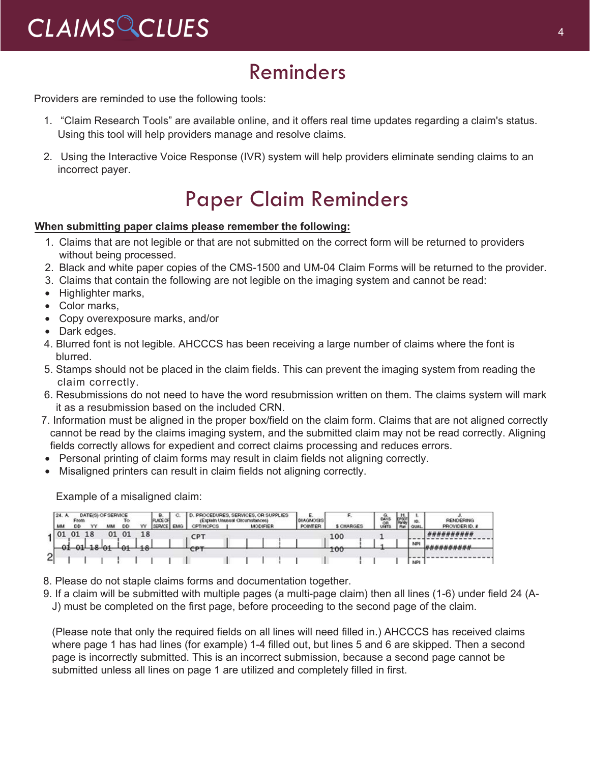### Reminders

Providers are reminded to use the following tools:

- 1. "Claim Research Tools" are available online, and it offers real time updates regarding a claim's status. Using this tool will help providers manage and resolve claims.
- 2. Using the Interactive Voice Response (IVR) system will help providers eliminate sending claims to an incorrect payer.

### Paper Claim Reminders

#### **When submitting paper claims please remember the following:**

- 1. Claims that are not legible or that are not submitted on the correct form will be returned to providers without being processed.
- 2. Black and white paper copies of the CMS-1500 and UM-04 Claim Forms will be returned to the provider.
- 3. Claims that contain the following are not legible on the imaging system and cannot be read:
- Highlighter marks,
- Color marks,
- Copy overexposure marks, and/or
- Dark edges.
- 4. Blurred font is not legible. AHCCCS has been receiving a large number of claims where the font is blurred.
- 5. Stamps should not be placed in the claim fields. This can prevent the imaging system from reading the claim correctly.
- 6. Resubmissions do not need to have the word resubmission written on them. The claims system will mark it as a resubmission based on the included CRN.
- 7. Information must be aligned in the proper box/field on the claim form. Claims that are not aligned correctly cannot be read by the claims imaging system, and the submitted claim may not be read correctly. Aligning fields correctly allows for expedient and correct claims processing and reduces errors.
- Personal printing of claim forms may result in claim fields not aligning correctly.
- Misaligned printers can result in claim fields not aligning correctly.

Example of a misaligned claim:

|                | 24. A<br>MM | From |    | DATE(S) OF SERVICE<br><b>BAR</b> | To<br><b>DD</b> | Y٧ | PLACE OF<br>SERACE. | <b>EMG</b> | <b>PROCEDURES</b><br><b>CPT/HCPCS</b> | ain Unusual Clicumstances) | SERVICES, OR SUPPLIES<br><b>MODIFIER</b> | E.<br><b>DIAGNOSIS</b><br><b>POINTER</b> | <b>S CHARGES</b> | DAY:<br>OR<br>UNT | 790<br>Farity<br>Ran | <b>QUAL</b> | <b>RENDERING</b><br><b>FROVIDER ID. #</b> |
|----------------|-------------|------|----|----------------------------------|-----------------|----|---------------------|------------|---------------------------------------|----------------------------|------------------------------------------|------------------------------------------|------------------|-------------------|----------------------|-------------|-------------------------------------------|
|                | 01          |      | 18 |                                  | $_{01}$         | 18 |                     |            | CP1                                   |                            |                                          |                                          | 100              |                   |                      |             | ##########                                |
|                | θ1          |      |    |                                  |                 | 18 |                     |            |                                       |                            |                                          |                                          |                  |                   |                      | NP.         | ####                                      |
| $\overline{2}$ |             |      |    |                                  |                 |    |                     |            |                                       |                            |                                          |                                          | 100              |                   |                      |             |                                           |
|                |             |      |    |                                  |                 |    |                     |            |                                       |                            |                                          |                                          |                  |                   |                      | NPI         |                                           |

- 8. Please do not staple claims forms and documentation together.
- 9. If a claim will be submitted with multiple pages (a multi-page claim) then all lines (1-6) under field 24 (A-
	- J) must be completed on the first page, before proceeding to the second page of the claim.

 (Please note that only the required fields on all lines will need filled in.) AHCCCS has received claims where page 1 has had lines (for example) 1-4 filled out, but lines 5 and 6 are skipped. Then a second page is incorrectly submitted. This is an incorrect submission, because a second page cannot be submitted unless all lines on page 1 are utilized and completely filled in first.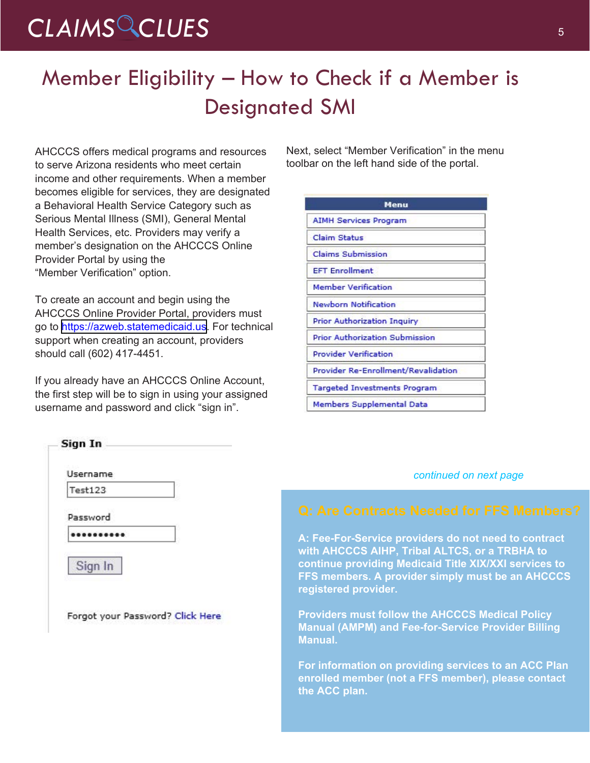### CLAIMS CLUES<sup>5</sup>

### Member Eligibility – How to Check if a Member is Designated SMI

AHCCCS offers medical programs and resources to serve Arizona residents who meet certain income and other requirements. When a member becomes eligible for services, they are designated a Behavioral Health Service Category such as Serious Mental Illness (SMI), General Mental Health Services, etc. Providers may verify a member's designation on the AHCCCS Online Provider Portal by using the "Member Verification" option.

To create an account and begin using the AHCCCS Online Provider Portal, providers must go to <https://azweb.statemedicaid.us>. For technical support when creating an account, providers should call (602) 417-4451.

If you already have an AHCCCS Online Account, the first step will be to sign in using your assigned username and password and click "sign in".

Next, select "Member Verification" in the menu toolbar on the left hand side of the portal.

| Menu                                  |
|---------------------------------------|
| <b>AIMH Services Program</b>          |
| <b>Claim Status</b>                   |
| <b>Claims Submission</b>              |
| <b>EFT Enrollment</b>                 |
| <b>Member Verification</b>            |
| <b>Newborn Notification</b>           |
| <b>Prior Authorization Inquiry</b>    |
| <b>Prior Authorization Submission</b> |
| <b>Provider Verification</b>          |
| Provider Re-Enrollment/Revalidation   |
| <b>Targeted Investments Program</b>   |
| Members Supplemental Data             |

| Test123  |  |
|----------|--|
| Password |  |
|          |  |
| Sign In  |  |

#### *continued on next page*

**A: Fee-For-Service providers do not need to contract with AHCCCS AIHP, Tribal ALTCS, or a TRBHA to continue providing Medicaid Title XIX/XXI services to FFS members. A provider simply must be an AHCCCS registered provider.**

**Providers must follow the AHCCCS Medical Policy Manual (AMPM) and Fee-for-Service Provider Billing Manual.**

**For information on providing services to an ACC Plan enrolled member (not a FFS member), please contact the ACC plan.**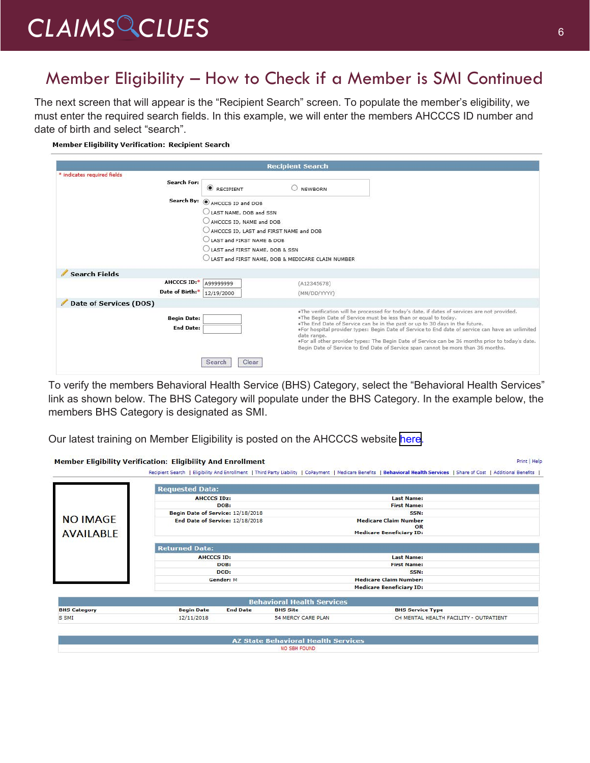### CLAIMS CLUES<sup>6</sup>

### Member Eligibility – How to Check if a Member is SMI Continued

The next screen that will appear is the "Recipient Search" screen. To populate the member's eligibility, we must enter the required search fields. In this example, we will enter the members AHCCCS ID number and date of birth and select "search".

| <b>Member Eligibility Verification: Recipient Search</b> |  |
|----------------------------------------------------------|--|
|----------------------------------------------------------|--|

|                             |                                        | <b>Recipient Search</b>                                                                                                                                                              |  |
|-----------------------------|----------------------------------------|--------------------------------------------------------------------------------------------------------------------------------------------------------------------------------------|--|
| * indicates required fields |                                        |                                                                                                                                                                                      |  |
| Search For:                 | $\bullet$ RECIPIENT                    | NEWBORN                                                                                                                                                                              |  |
|                             | Search By: @ AHCCCS ID and DOB         |                                                                                                                                                                                      |  |
|                             | $\cup$ LAST NAME, DOB and SSN          |                                                                                                                                                                                      |  |
|                             | AHCCCS ID, NAME and DOB                |                                                                                                                                                                                      |  |
|                             | AHCCCS ID, LAST and FIRST NAME and DOB |                                                                                                                                                                                      |  |
|                             | LAST and FIRST NAME & DOB              |                                                                                                                                                                                      |  |
|                             | LAST and FIRST NAME, DOB & SSN         |                                                                                                                                                                                      |  |
|                             |                                        | $\cup$ LAST and FIRST NAME, DOB & MEDICARE CLAIM NUMBER                                                                                                                              |  |
| <b>Search Fields</b>        |                                        |                                                                                                                                                                                      |  |
| AHCCCS ID:* A99999999       |                                        | (A12345678)                                                                                                                                                                          |  |
| Date of Birth:*  12/19/2000 |                                        | (MM/DD/YYYY)                                                                                                                                                                         |  |
| Date of Services (DOS)      |                                        |                                                                                                                                                                                      |  |
|                             |                                        | .The verification will be processed for today's date, if dates of services are not provided.<br>.The Begin Date of Service must be less than or equal to today.                      |  |
| <b>Begin Date:</b>          |                                        | .The End Date of Service can be in the past or up to 30 days in the future.                                                                                                          |  |
| <b>End Date:</b>            |                                        | .For hospital provider types: Begin Date of Service to End date of service can have an unlimited<br>date range.                                                                      |  |
|                             |                                        | .For all other provider types: The Begin Date of Service can be 36 months prior to today's date.<br>Begin Date of Service to End Date of Service span cannot be more than 36 months. |  |
|                             |                                        |                                                                                                                                                                                      |  |
|                             | Clear<br>Search                        |                                                                                                                                                                                      |  |

To verify the members Behavioral Health Service (BHS) Category, select the "Behavioral Health Services" link as shown below. The BHS Category will populate under the BHS Category. In the example below, the members BHS Category is designated as SMI.

Our latest training on Member Eligibility is posted on the AHCCCS website [here](https://www.azahcccs.gov/Resources/Downloads/DFMSTraining/2018/MemberEligibility.pdf).

|                                 |                 |                                                                                                                                                      | Recipient Search   Eligibility And Enrollment   Third Party Liability   CoPayment   Medicare Benefits   Behavioral Health Services   Share of Cost   Additional Benefits |                                                                             |  |  |  |  |  |
|---------------------------------|-----------------|------------------------------------------------------------------------------------------------------------------------------------------------------|--------------------------------------------------------------------------------------------------------------------------------------------------------------------------|-----------------------------------------------------------------------------|--|--|--|--|--|
| <b>Requested Data:</b>          |                 |                                                                                                                                                      |                                                                                                                                                                          |                                                                             |  |  |  |  |  |
|                                 |                 |                                                                                                                                                      | <b>Last Name:</b>                                                                                                                                                        |                                                                             |  |  |  |  |  |
|                                 |                 |                                                                                                                                                      | <b>First Name:</b>                                                                                                                                                       |                                                                             |  |  |  |  |  |
|                                 |                 |                                                                                                                                                      | SSN:                                                                                                                                                                     |                                                                             |  |  |  |  |  |
|                                 |                 |                                                                                                                                                      | <b>Medicare Claim Number</b><br>OR                                                                                                                                       |                                                                             |  |  |  |  |  |
| <b>Medicare Beneficiary ID:</b> |                 |                                                                                                                                                      |                                                                                                                                                                          |                                                                             |  |  |  |  |  |
| <b>Returned Data:</b>           |                 |                                                                                                                                                      |                                                                                                                                                                          |                                                                             |  |  |  |  |  |
|                                 |                 |                                                                                                                                                      | <b>Last Name:</b>                                                                                                                                                        |                                                                             |  |  |  |  |  |
|                                 |                 |                                                                                                                                                      | <b>First Name:</b>                                                                                                                                                       |                                                                             |  |  |  |  |  |
|                                 |                 |                                                                                                                                                      | SSN:                                                                                                                                                                     |                                                                             |  |  |  |  |  |
|                                 |                 |                                                                                                                                                      | <b>Medicare Claim Number:</b>                                                                                                                                            |                                                                             |  |  |  |  |  |
|                                 |                 |                                                                                                                                                      | <b>Medicare Beneficiary ID:</b>                                                                                                                                          |                                                                             |  |  |  |  |  |
|                                 |                 |                                                                                                                                                      |                                                                                                                                                                          |                                                                             |  |  |  |  |  |
| <b>Begin Date</b>               | <b>End Date</b> | <b>BHS Site</b>                                                                                                                                      | <b>BHS Service Type</b>                                                                                                                                                  |                                                                             |  |  |  |  |  |
| 12/11/2018                      |                 | 54 MERCY CARE PLAN                                                                                                                                   |                                                                                                                                                                          |                                                                             |  |  |  |  |  |
|                                 |                 |                                                                                                                                                      |                                                                                                                                                                          |                                                                             |  |  |  |  |  |
|                                 |                 | <b>AHCCCS IDz:</b><br>DOB:<br>Begin Date of Service: 12/18/2018<br>End Date of Service: 12/18/2018<br><b>AHCCCS ID:</b><br>DOB:<br>DOD:<br>Gender: M |                                                                                                                                                                          | <b>Behavioral Health Services</b><br>CH MENTAL HEALTH FACILITY - OUTPATIENT |  |  |  |  |  |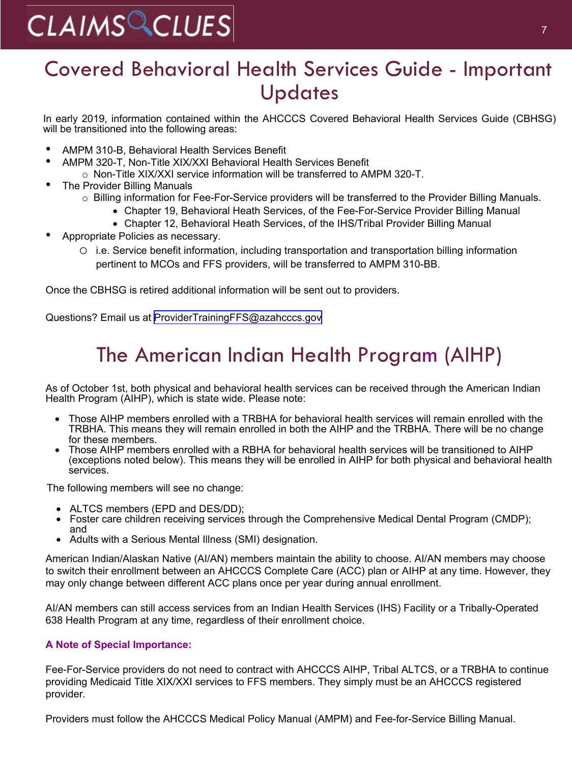### Covered Behavioral Health Services Guide - Important Updates

In early 2019, information contained within the AHCCCS Covered Behavioral Health Services Guide (CBHSG) will be transitioned into the following areas:

- AMPM 310-B, Behavioral Health Services Benefit
- AMPM 320-T, Non-Title XIX/XXI Behavioral Health Services Benefit o Non-Title XIX/XXI service information will be transferred to AMPM 320-T.
- The Provider Billing Manuals
	- $\circ$  Billing information for Fee-For-Service providers will be transferred to the Provider Billing Manuals.
		- Chapter 19, Behavioral Heath Services, of the Fee-For-Service Provider Billing Manual
			- Chapter 12, Behavioral Heath Services, of the IHS/Tribal Provider Billing Manual
- Appropriate Policies as necessary.
	- o i.e. Service benefit information, including transportation and transportation billing information pertinent to MCOs and FFS providers, will be transferred to AMPM 310-BB.

Once the CBHSG is retired additional information will be sent out to providers.

Questions? Email us at <ProviderTrainingFFS@azahcccs.gov>

### The American Indian Health Program (AIHP)

As of October 1st, both physical and behavioral health services can be received through the American Indian Health Program (AIHP), which is state wide. Please note:

- Those AIHP members enrolled with a TRBHA for behavioral health services will remain enrolled with the TRBHA. This means they will remain enrolled in both the AIHP and the TRBHA. There will be no change for these members.
- Those AIHP members enrolled with a RBHA for behavioral health services will be transitioned to AIHP (exceptions noted below). This means they will be enrolled in AIHP for both physical and behavioral health services.

The following members will see no change:

- ALTCS members (EPD and DES/DD);
- Foster care children receiving services through the Comprehensive Medical Dental Program (CMDP); and
- Adults with a Serious Mental Illness (SMI) designation.

American Indian/Alaskan Native (AI/AN) members maintain the ability to choose. AI/AN members may choose to switch their enrollment between an AHCCCS Complete Care (ACC) plan or AIHP at any time. However, they may only change between different ACC plans once per year during annual enrollment.

AI/AN members can still access services from an Indian Health Services (IHS) Facility or a Tribally-Operated 638 Health Program at any time, regardless of their enrollment choice.

### **A Note of Special Importance:**

Fee-For-Service providers do not need to contract with AHCCCS AIHP, Tribal ALTCS, or a TRBHA to continue providing Medicaid Title XIX/XXI services to FFS members. They simply must be an AHCCCS registered provider.

Providers must follow the AHCCCS Medical Policy Manual (AMPM) and Fee-for-Service Billing Manual.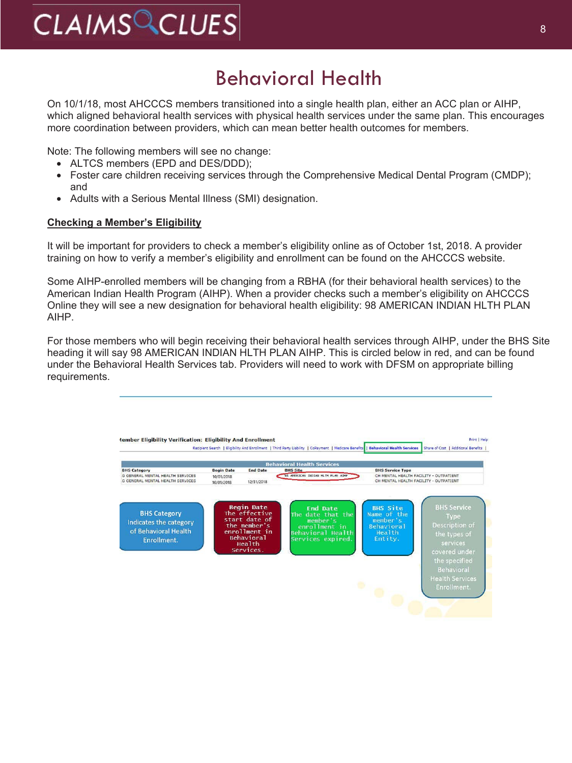### Behavioral Health

On 10/1/18, most AHCCCS members transitioned into a single health plan, either an ACC plan or AIHP, which aligned behavioral health services with physical health services under the same plan. This encourages more coordination between providers, which can mean better health outcomes for members.

Note: The following members will see no change:

- ALTCS members (EPD and DES/DDD):
- Foster care children receiving services through the Comprehensive Medical Dental Program (CMDP); and
- Adults with a Serious Mental Illness (SMI) designation.

#### **Checking a Member's Eligibility**

It will be important for providers to check a member's eligibility online as of October 1st, 2018. A provider training on how to verify a member's eligibility and enrollment can be found on the AHCCCS website.

Some AIHP-enrolled members will be changing from a RBHA (for their behavioral health services) to the American Indian Health Program (AIHP). When a provider checks such a member's eligibility on AHCCCS Online they will see a new designation for behavioral health eligibility: 98 AMERICAN INDIAN HLTH PLAN AIHP.

For those members who will begin receiving their behavioral health services through AIHP, under the BHS Site heading it will say 98 AMERICAN INDIAN HLTH PLAN AIHP. This is circled below in red, and can be found under the Behavioral Health Services tab. Providers will need to work with DFSM on appropriate billing requirements.